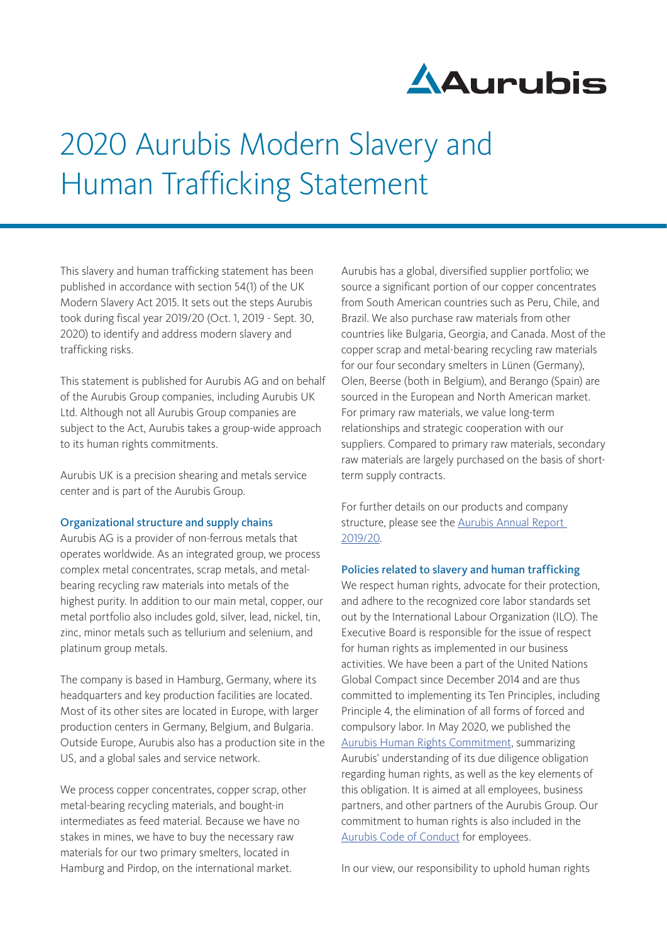

# 2020 Aurubis Modern Slavery and Human Trafficking Statement

This slavery and human trafficking statement has been published in accordance with section 54(1) of the UK Modern Slavery Act 2015. It sets out the steps Aurubis took during fiscal year 2019/20 (Oct. 1, 2019 - Sept. 30, 2020) to identify and address modern slavery and trafficking risks.

This statement is published for Aurubis AG and on behalf of the Aurubis Group companies, including Aurubis UK Ltd. Although not all Aurubis Group companies are subject to the Act, Aurubis takes a group-wide approach to its human rights commitments.

Aurubis UK is a precision shearing and metals service center and is part of the Aurubis Group.

## Organizational structure and supply chains

Aurubis AG is a provider of non-ferrous metals that operates worldwide. As an integrated group, we process complex metal concentrates, scrap metals, and metalbearing recycling raw materials into metals of the highest purity. In addition to our main metal, copper, our metal portfolio also includes gold, silver, lead, nickel, tin, zinc, minor metals such as tellurium and selenium, and platinum group metals.

The company is based in Hamburg, Germany, where its headquarters and key production facilities are located. Most of its other sites are located in Europe, with larger production centers in Germany, Belgium, and Bulgaria. Outside Europe, Aurubis also has a production site in the US, and a global sales and service network.

We process copper concentrates, copper scrap, other metal-bearing recycling materials, and bought-in intermediates as feed material. Because we have no stakes in mines, we have to buy the necessary raw materials for our two primary smelters, located in Hamburg and Pirdop, on the international market.

Aurubis has a global, diversified supplier portfolio; we source a significant portion of our copper concentrates from South American countries such as Peru, Chile, and Brazil. We also purchase raw materials from other countries like Bulgaria, Georgia, and Canada. Most of the copper scrap and metal-bearing recycling raw materials for our four secondary smelters in Lünen (Germany), Olen, Beerse (both in Belgium), and Berango (Spain) are sourced in the European and North American market. For primary raw materials, we value long-term relationships and strategic cooperation with our suppliers. Compared to primary raw materials, secondary raw materials are largely purchased on the basis of shortterm supply contracts.

For further details on our products and company structure, please see the [Aurubis Annual Report](https://annualreport2019-20.aurubis.com/focus-forward)  [2019/20](https://annualreport2019-20.aurubis.com/focus-forward).

#### Policies related to slavery and human trafficking

We respect human rights, advocate for their protection, and adhere to the recognized core labor standards set out by the International Labour Organization (ILO). The Executive Board is responsible for the issue of respect for human rights as implemented in our business activities. We have been a part of the United Nations Global Compact since December 2014 and are thus committed to implementing its Ten Principles, including Principle 4, the elimination of all forms of forced and compulsory labor. In May 2020, we published the [Aurubis Human Rights Commitment](https://www.aurubis.com/binaries/content/assets/aurubisrelaunch/files/verantwortung/aurubis_human-rights-commitment_2020_06.pdf), summarizing Aurubis' understanding of its due diligence obligation regarding human rights, as well as the key elements of this obligation. It is aimed at all employees, business partners, and other partners of the Aurubis Group. Our commitment to human rights is also included in the [Aurubis Code of Conduct](https://www.aurubis.com/binaries/content/assets/aurubis-en/dateien/responsibility/code-of-conduct/_2019_09_aurubis-verhaltenskodex-en_neu.pdf) for employees.

In our view, our responsibility to uphold human rights